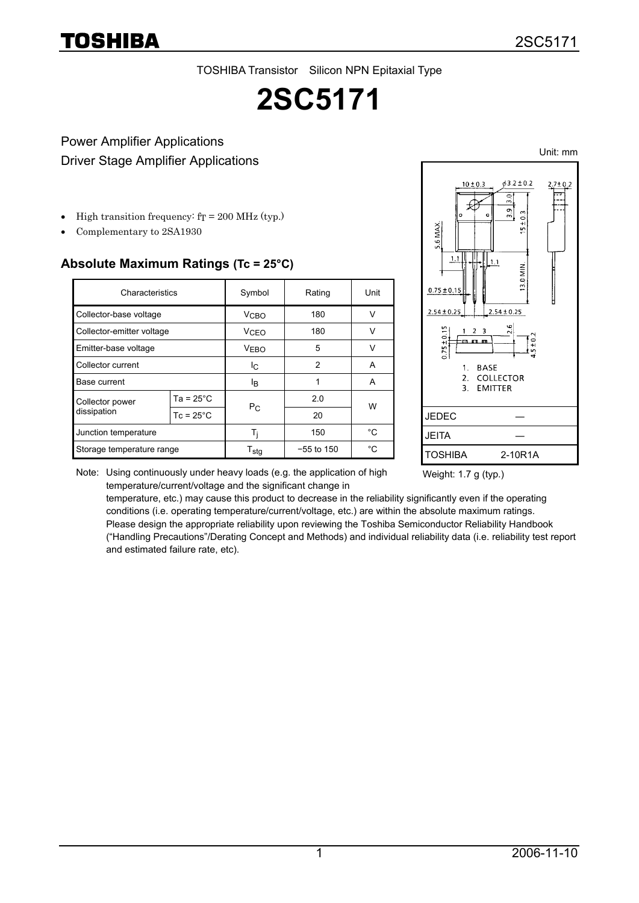TOSHIBA

TOSHIBA Transistor Silicon NPN Epitaxial Type

# **2SC5171**

### Power Amplifier Applications Driver Stage Amplifier Applications

- High transition frequency:  $fT = 200$  MHz (typ.)
- Complementary to 2SA1930

#### **Absolute Maximum Ratings (Tc = 25°C)**

| Characteristics                |                    | Symbol                 | Rating       | Unit         |  |
|--------------------------------|--------------------|------------------------|--------------|--------------|--|
| Collector-base voltage         |                    | V <sub>CBO</sub>       | 180          | $\vee$       |  |
| Collector-emitter voltage      |                    | <b>V<sub>CEO</sub></b> | 180          |              |  |
| Emitter-base voltage           |                    | VERO                   | 5            | v            |  |
| Collector current              |                    | Ic.                    | 2            | A            |  |
| Base current                   |                    | Iв                     |              | Α            |  |
| Collector power<br>dissipation | $Ta = 25^{\circ}C$ | $P_{C}$                | 2.0          | W            |  |
|                                | $Tc = 25^{\circ}C$ |                        | 20           |              |  |
| Junction temperature           |                    | Ti                     | 150          | °C           |  |
| Storage temperature range      |                    | $T_{\text{stg}}$       | $-55$ to 150 | $^{\circ}$ C |  |



Note: Using continuously under heavy loads (e.g. the application of high temperature/current/voltage and the significant change in

Weight: 1.7 g (typ.)

temperature, etc.) may cause this product to decrease in the reliability significantly even if the operating conditions (i.e. operating temperature/current/voltage, etc.) are within the absolute maximum ratings. Please design the appropriate reliability upon reviewing the Toshiba Semiconductor Reliability Handbook ("Handling Precautions"/Derating Concept and Methods) and individual reliability data (i.e. reliability test report and estimated failure rate, etc).

Unit: mm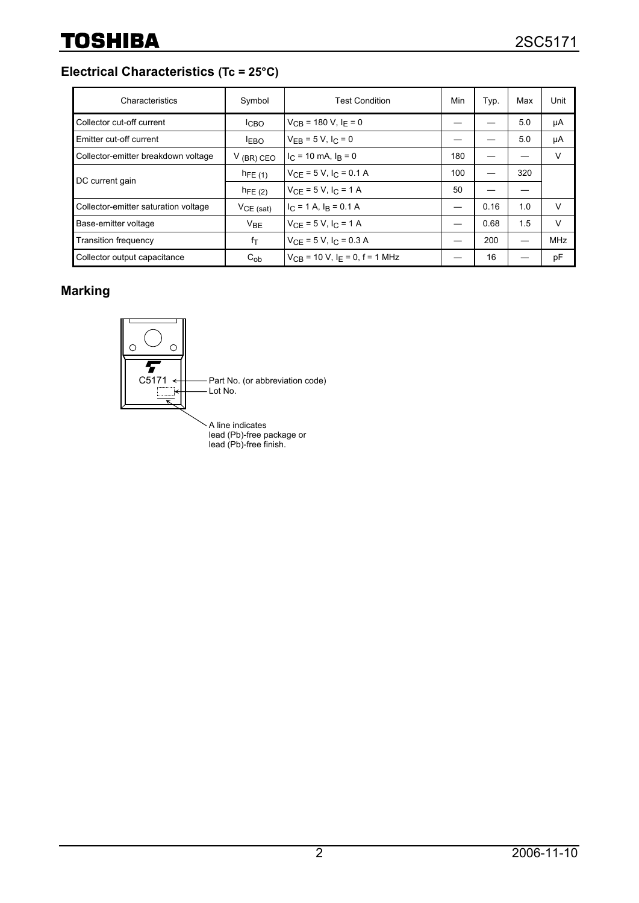**Electrical Characteristics (Tc = 25°C)**

| Characteristics                      | Symbol          | <b>Test Condition</b>                          | Min | Typ. | Max | Unit       |
|--------------------------------------|-----------------|------------------------------------------------|-----|------|-----|------------|
| Collector cut-off current            | <b>ICBO</b>     | $V_{CB}$ = 180 V, I <sub>F</sub> = 0           |     |      | 5.0 | μA         |
| Emitter cut-off current              | <b>LEBO</b>     | $V_{FR} = 5 V, I_C = 0$                        |     |      | 5.0 | μA         |
| Collector-emitter breakdown voltage  | $V$ (BR) CEO    | $I_C = 10$ mA, $I_R = 0$                       | 180 |      |     | $\vee$     |
| DC current gain                      | $h_{FE(1)}$     | $V_{CF}$ = 5 V, $I_C$ = 0.1 A                  | 100 |      | 320 |            |
|                                      | $h_{FE(2)}$     | $V_{CF} = 5 V, I_C = 1 A$                      | 50  |      |     |            |
| Collector-emitter saturation voltage | $VCE$ (sat)     | $I_C = 1$ A, $I_R = 0.1$ A                     | —   | 0.16 | 1.0 | V          |
| Base-emitter voltage                 | $V_{\text{BF}}$ | $V_{CF} = 5 V, I_{C} = 1 A$                    |     | 0.68 | 1.5 | $\vee$     |
| <b>Transition frequency</b>          | fт              | $V_{CF} = 5 V, I_C = 0.3 A$                    |     | 200  |     | <b>MHz</b> |
| Collector output capacitance         | $C_{ob}$        | $V_{CB}$ = 10 V, I <sub>F</sub> = 0, f = 1 MHz |     | 16   |     | pF         |

## **Marking**



A line indicates lead (Pb)-free package or lead (Pb)-free finish.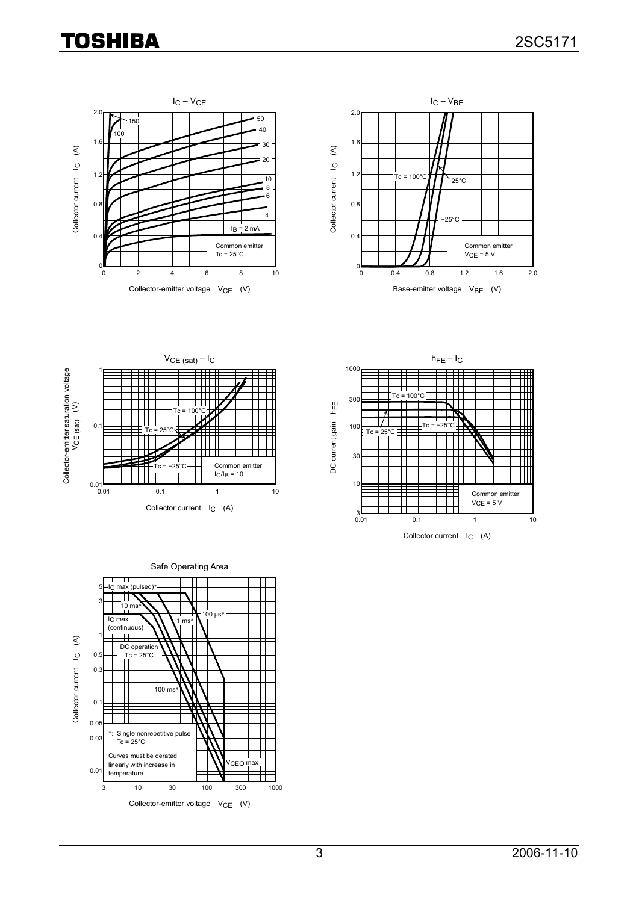# **TOSHIBA**